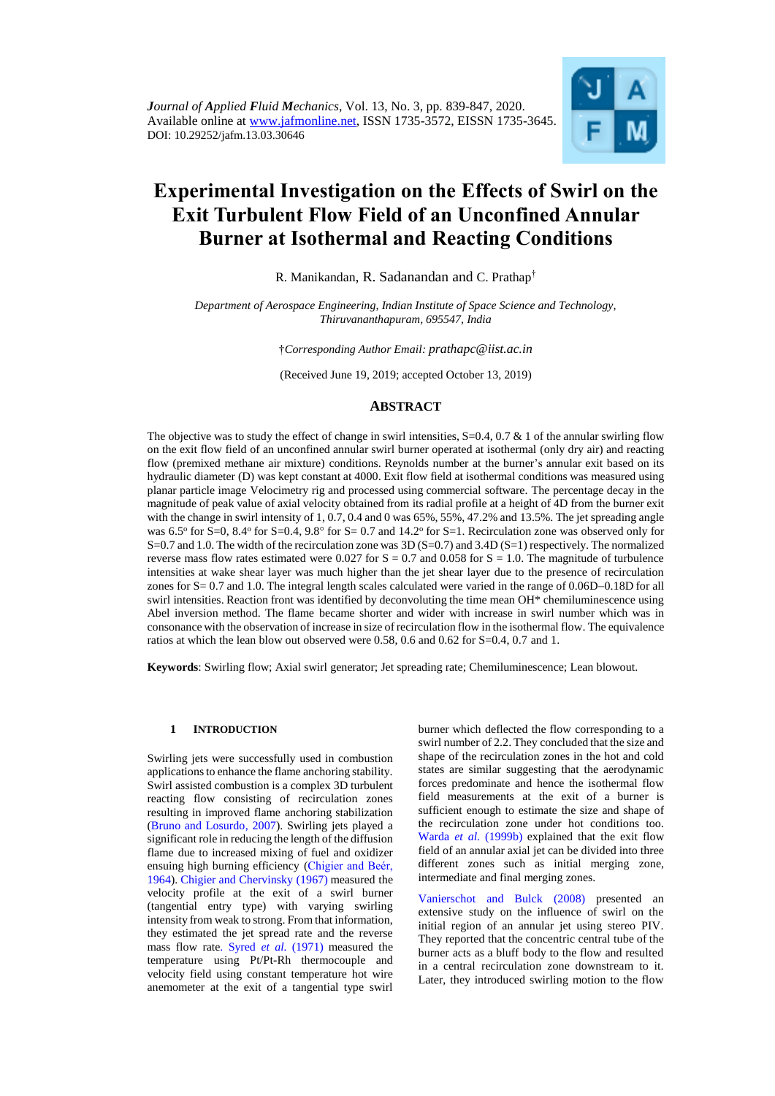

# **Experimental Investigation on the Effects of Swirl on the Exit Turbulent Flow Field of an Unconfined Annular Burner at Isothermal and Reacting Conditions**

R. Manikandan, R. Sadanandan and C. Prathap†

*Department of Aerospace Engineering, Indian Institute of Space Science and Technology, Thiruvananthapuram, 695547, India*

†*Corresponding Author Email: prathapc@iist.ac.in*

(Received June 19, 2019; accepted October 13, 2019)

# **ABSTRACT**

The objective was to study the effect of change in swirl intensities,  $S=0.4$ ,  $0.7 \& 1$  of the annular swirling flow on the exit flow field of an unconfined annular swirl burner operated at isothermal (only dry air) and reacting flow (premixed methane air mixture) conditions. Reynolds number at the burner's annular exit based on its hydraulic diameter (D) was kept constant at 4000. Exit flow field at isothermal conditions was measured using planar particle image Velocimetry rig and processed using commercial software. The percentage decay in the magnitude of peak value of axial velocity obtained from its radial profile at a height of 4D from the burner exit with the change in swirl intensity of 1, 0.7, 0.4 and 0 was 65%, 55%, 47.2% and 13.5%. The jet spreading angle was 6.5° for S=0, 8.4° for S=0.4, 9.8° for S= 0.7 and 14.2° for S=1. Recirculation zone was observed only for S=0.7 and 1.0. The width of the recirculation zone was 3D (S=0.7) and 3.4D (S=1) respectively. The normalized reverse mass flow rates estimated were 0.027 for  $S = 0.7$  and 0.058 for  $S = 1.0$ . The magnitude of turbulence intensities at wake shear layer was much higher than the jet shear layer due to the presence of recirculation zones for  $S = 0.7$  and 1.0. The integral length scales calculated were varied in the range of  $0.06D-0.18D$  for all swirl intensities. Reaction front was identified by deconvoluting the time mean OH\* chemiluminescence using Abel inversion method. The flame became shorter and wider with increase in swirl number which was in consonance with the observation of increase in size of recirculation flow in the isothermal flow. The equivalence ratios at which the lean blow out observed were 0.58, 0.6 and 0.62 for S=0.4, 0.7 and 1.

**Keywords**: Swirling flow; Axial swirl generator; Jet spreading rate; Chemiluminescence; Lean blowout.

## **1 INTRODUCTION**

Swirling jets were successfully used in combustion applications to enhance the flame anchoring stability. Swirl assisted combustion is a complex 3D turbulent reacting flow consisting of recirculation zones resulting in improved flame anchoring stabilization [\(Bruno and Losurdo, 2007\)](#page-7-0). Swirling jets played a significant role in reducing the length of the diffusion flame due to increased mixing of fuel and oxidizer ensuing high burning efficiency [\(Chigier and Beér,](#page-7-1)  [1964\)](#page-7-1). [Chigier and Chervinsky](#page-7-2) (1967) measured the velocity profile at the exit of a swirl burner (tangential entry type) with varying swirling intensity from weak to strong. From that information, they estimated the jet spread rate and the reverse mass flow rat[e. Syred](#page-7-3) *et al.* (1971) measured the temperature using Pt/Pt-Rh thermocouple and velocity field using constant temperature hot wire anemometer at the exit of a tangential type swirl

burner which deflected the flow corresponding to a swirl number of 2.2. They concluded that the size and shape of the recirculation zones in the hot and cold states are similar suggesting that the aerodynamic forces predominate and hence the isothermal flow field measurements at the exit of a burner is sufficient enough to estimate the size and shape of the recirculation zone under hot conditions too. Warda *et al.* [\(1999b\)](#page-8-0) explained that the exit flow field of an annular axial jet can be divided into three different zones such as initial merging zone, intermediate and final merging zones.

[Vanierschot and Bulck \(2008\)](#page-7-4) presented an extensive study on the influence of swirl on the initial region of an annular jet using stereo PIV. They reported that the concentric central tube of the burner acts as a bluff body to the flow and resulted in a central recirculation zone downstream to it. Later, they introduced swirling motion to the flow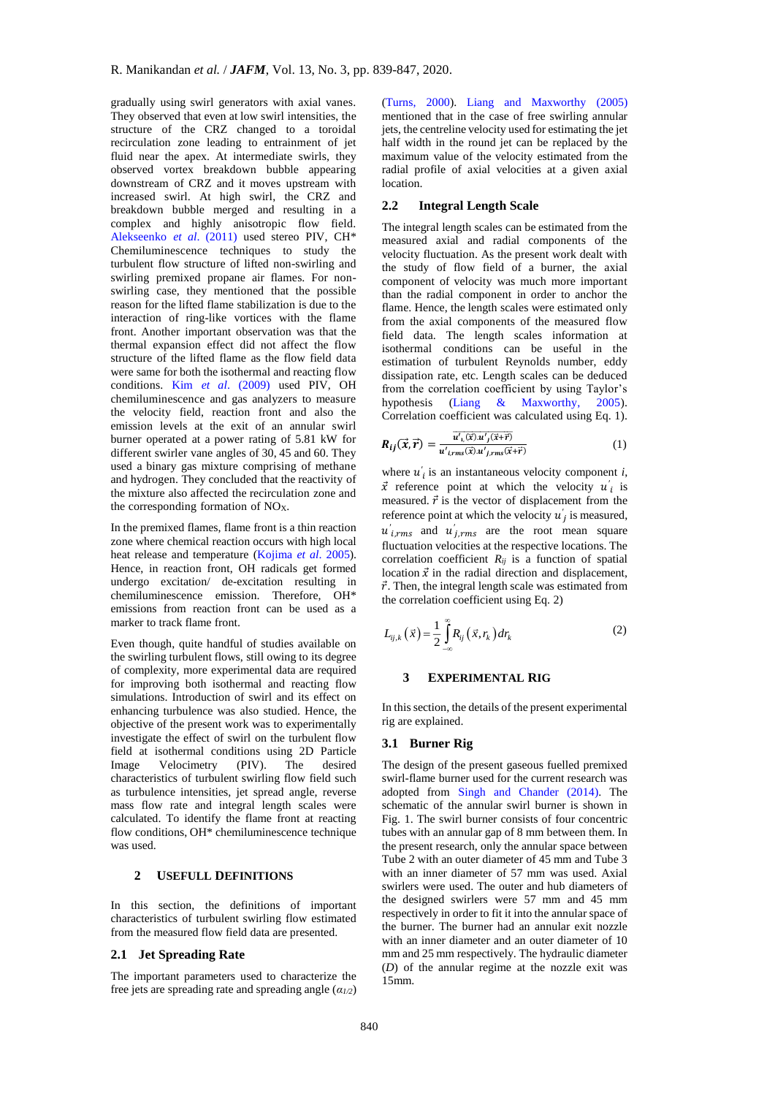gradually using swirl generators with axial vanes. They observed that even at low swirl intensities, the structure of the CRZ changed to a toroidal recirculation zone leading to entrainment of jet fluid near the apex. At intermediate swirls, they observed vortex breakdown bubble appearing downstream of CRZ and it moves upstream with increased swirl. At high swirl, the CRZ and breakdown bubble merged and resulting in a complex and highly anisotropic flow field. [Alekseenko](#page-7-5) *et al*. (2011) used stereo PIV, CH\* Chemiluminescence techniques to study the turbulent flow structure of lifted non-swirling and swirling premixed propane air flames. For nonswirling case, they mentioned that the possible reason for the lifted flame stabilization is due to the interaction of ring-like vortices with the flame front. Another important observation was that the thermal expansion effect did not affect the flow structure of the lifted flame as the flow field data were same for both the isothermal and reacting flow conditions. Kim *et al*. [\(2009\)](#page-7-6) used PIV, OH chemiluminescence and gas analyzers to measure the velocity field, reaction front and also the emission levels at the exit of an annular swirl burner operated at a power rating of 5.81 kW for different swirler vane angles of 30, 45 and 60. They used a binary gas mixture comprising of methane and hydrogen. They concluded that the reactivity of the mixture also affected the recirculation zone and the corresponding formation of  $NO<sub>X</sub>$ .

In the premixed flames, flame front is a thin reaction zone where chemical reaction occurs with high local heat release and temperature [\(Kojima](#page-7-7) *et al*. 2005). Hence, in reaction front, OH radicals get formed undergo excitation/ de-excitation resulting in chemiluminescence emission. Therefore, OH\* emissions from reaction front can be used as a marker to track flame front.

Even though, quite handful of studies available on the swirling turbulent flows, still owing to its degree of complexity, more experimental data are required for improving both isothermal and reacting flow simulations. Introduction of swirl and its effect on enhancing turbulence was also studied. Hence, the objective of the present work was to experimentally investigate the effect of swirl on the turbulent flow field at isothermal conditions using 2D Particle Image Velocimetry (PIV). The desired characteristics of turbulent swirling flow field such as turbulence intensities, jet spread angle, reverse mass flow rate and integral length scales were calculated. To identify the flame front at reacting flow conditions, OH\* chemiluminescence technique was used.

## **2 USEFULL DEFINITIONS**

In this section, the definitions of important characteristics of turbulent swirling flow estimated from the measured flow field data are presented.

#### <span id="page-1-2"></span>**2.1 Jet Spreading Rate**

The important parameters used to characterize the free jets are spreading rate and spreading angle (*α1/2*)

[\(Turns,](#page-7-8) 2000). [Liang and Maxworthy \(2005\)](#page-7-9) mentioned that in the case of free swirling annular jets, the centreline velocity used for estimating the jet half width in the round jet can be replaced by the maximum value of the velocity estimated from the radial profile of axial velocities at a given axial location.

# **2.2 Integral Length Scale**

The integral length scales can be estimated from the measured axial and radial components of the velocity fluctuation. As the present work dealt with the study of flow field of a burner, the axial component of velocity was much more important than the radial component in order to anchor the flame. Hence, the length scales were estimated only from the axial components of the measured flow field data. The length scales information at isothermal conditions can be useful in the estimation of turbulent Reynolds number, eddy dissipation rate, etc. Length scales can be deduced from the correlation coefficient by using Taylor's hypothesis (Liang & [Maxworthy,](#page-7-9) 2005). Correlation coefficient was calculated using Eq. [1\)](#page-1-0).

<span id="page-1-0"></span>
$$
R_{ij}(\vec{x},\vec{r}) = \frac{\overline{u'_{1}(\vec{x})u'_{j}(\vec{x}+\vec{r})}}{u'_{i,rms}(\vec{x})u'_{j,rms}(\vec{x}+\vec{r})}
$$
(1)

where  $u'_{i}$  is an instantaneous velocity component *i*,  $\vec{x}$  reference point at which the velocity  $u'_{i}$  is measured.  $\vec{r}$  is the vector of displacement from the reference point at which the velocity  $u'_{j}$  is measured,  $u'_{i,rms}$  and  $u'_{j,rms}$  are the root mean square fluctuation velocities at the respective locations. The correlation coefficient *Rij* is a function of spatial location  $\vec{x}$  in the radial direction and displacement,  $\vec{r}$ . Then, the integral length scale was estimated from the correlation coefficient using Eq. [2\)](#page-1-1)

$$
L_{ij,k}(\vec{x}) = \frac{1}{2} \int_{-\infty}^{\infty} R_{ij}(\vec{x}, r_k) dr_k
$$
 (2)

#### <span id="page-1-1"></span>**3 EXPERIMENTAL RIG**

In this section, the details of the present experimental rig are explained.

## **3.1 Burner Rig**

The design of the present gaseous fuelled premixed swirl-flame burner used for the current research was adopted from [Singh and Chander \(2014\)](#page-7-10). The schematic of the annular swirl burner is shown in Fig. 1. The swirl burner consists of four concentric tubes with an annular gap of 8 mm between them. In the present research, only the annular space between Tube 2 with an outer diameter of 45 mm and Tube 3 with an inner diameter of 57 mm was used. Axial swirlers were used. The outer and hub diameters of the designed swirlers were 57 mm and 45 mm respectively in order to fit it into the annular space of the burner. The burner had an annular exit nozzle with an inner diameter and an outer diameter of 10 mm and 25 mm respectively. The hydraulic diameter (*D*) of the annular regime at the nozzle exit was 15mm.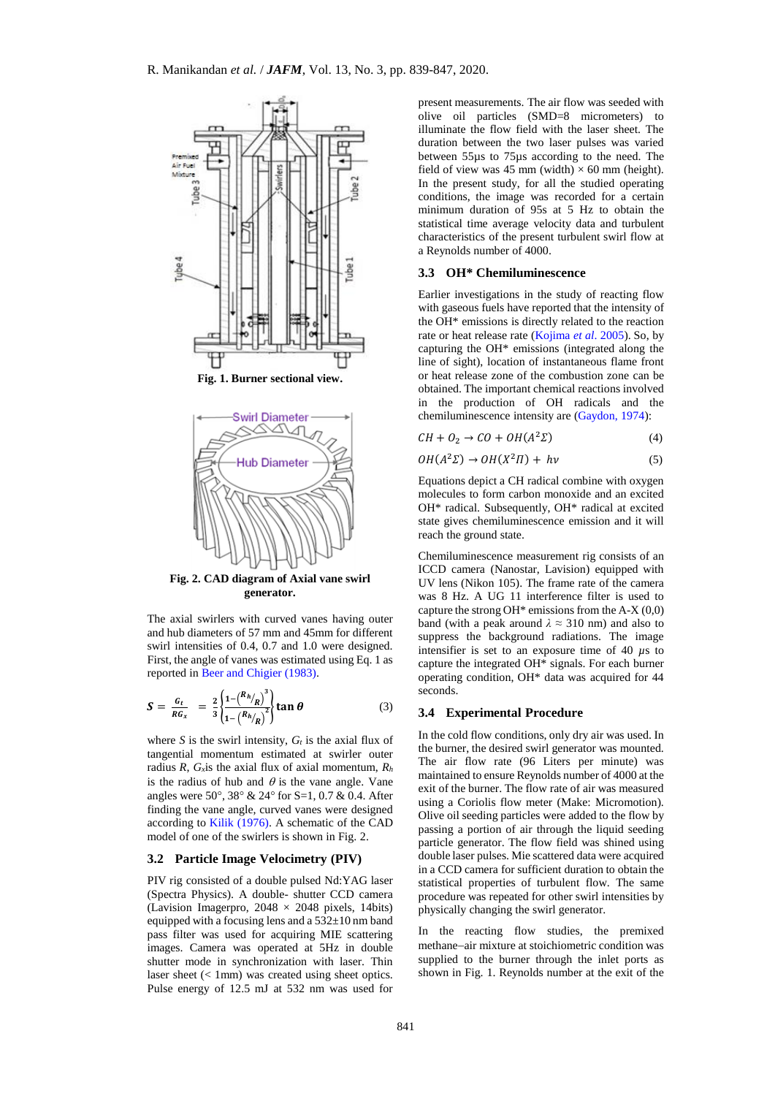

<span id="page-2-0"></span>

The axial swirlers with curved vanes having outer and hub diameters of 57 mm and 45mm for different swirl intensities of 0.4, 0.7 and 1.0 were designed. First, the angle of vanes was estimated using Eq. 1 as reported in Beer and [Chigier \(1983\)](#page-7-11).

$$
S = \frac{G_t}{R G_x} = \frac{2}{3} \left\{ \frac{1 - \left( \frac{R_h}{R} \right)^3}{1 - \left( \frac{R_h}{R} \right)^2} \right\} \tan \theta \tag{3}
$$

where *S* is the swirl intensity,  $G_t$  is the axial flux of tangential momentum estimated at swirler outer radius *R*, *Gx*is the axial flux of axial momentum, *R<sup>h</sup>* is the radius of hub and  $\theta$  is the vane angle. Vane angles were 50°, 38° & 24° for S=1, 0.7 & 0.4. After finding the vane angle, curved vanes were designed according to [Kilik \(1976\)](#page-7-12). A schematic of the CAD model of one of the swirlers is shown in Fig. 2.

#### **3.2 Particle Image Velocimetry (PIV)**

PIV rig consisted of a double pulsed Nd:YAG laser (Spectra Physics). A double- shutter CCD camera (Lavision Imagerpro,  $2048 \times 2048$  pixels, 14bits) equipped with a focusing lens and a  $532\pm10$  nm band pass filter was used for acquiring MIE scattering images. Camera was operated at 5Hz in double shutter mode in synchronization with laser. Thin laser sheet (< 1mm) was created using sheet optics. Pulse energy of 12.5 mJ at 532 nm was used for

present measurements. The air flow was seeded with olive oil particles (SMD=8 micrometers) to illuminate the flow field with the laser sheet. The duration between the two laser pulses was varied between 55µs to 75µs according to the need. The field of view was 45 mm (width)  $\times$  60 mm (height). In the present study, for all the studied operating conditions, the image was recorded for a certain minimum duration of 95s at 5 Hz to obtain the statistical time average velocity data and turbulent characteristics of the present turbulent swirl flow at a Reynolds number of 4000.

## <span id="page-2-1"></span>**3.3 OH\* Chemiluminescence**

Earlier investigations in the study of reacting flow with gaseous fuels have reported that the intensity of the OH\* emissions is directly related to the reaction rate or heat release rate [\(Kojima](#page-7-7) *et al*. 2005). So, by capturing the OH\* emissions (integrated along the line of sight), location of instantaneous flame front or heat release zone of the combustion zone can be obtained. The important chemical reactions involved in the production of OH radicals and the chemiluminescence intensity are [\(Gaydon,](#page-7-13) 1974):

$$
CH + O_2 \rightarrow CO + OH(A^2\Sigma)
$$
 (4)

$$
OH(A^2\Sigma) \to OH(X^2\Pi) + hv \tag{5}
$$

Equations depict a CH radical combine with oxygen molecules to form carbon monoxide and an excited OH\* radical. Subsequently, OH\* radical at excited state gives chemiluminescence emission and it will reach the ground state.

Chemiluminescence measurement rig consists of an ICCD camera (Nanostar, Lavision) equipped with UV lens (Nikon 105). The frame rate of the camera was 8 Hz. A UG 11 interference filter is used to capture the strong OH $*$  emissions from the A-X (0,0) band (with a peak around *λ ≈* 310 nm) and also to suppress the background radiations. The image intensifier is set to an exposure time of 40 *µ*s to capture the integrated OH\* signals. For each burner operating condition, OH\* data was acquired for 44 seconds.

## **3.4 Experimental Procedure**

In the cold flow conditions, only dry air was used. In the burner, the desired swirl generator was mounted. The air flow rate (96 Liters per minute) was maintained to ensure Reynolds number of 4000 at the exit of the burner. The flow rate of air was measured using a Coriolis flow meter (Make: Micromotion). Olive oil seeding particles were added to the flow by passing a portion of air through the liquid seeding particle generator. The flow field was shined using double laser pulses. Mie scattered data were acquired in a CCD camera for sufficient duration to obtain the statistical properties of turbulent flow. The same procedure was repeated for other swirl intensities by physically changing the swirl generator.

In the reacting flow studies, the premixed methane-air mixture at stoichiometric condition was supplied to the burner through the inlet ports as shown in [Fig. 1.](#page-2-0) Reynolds number at the exit of the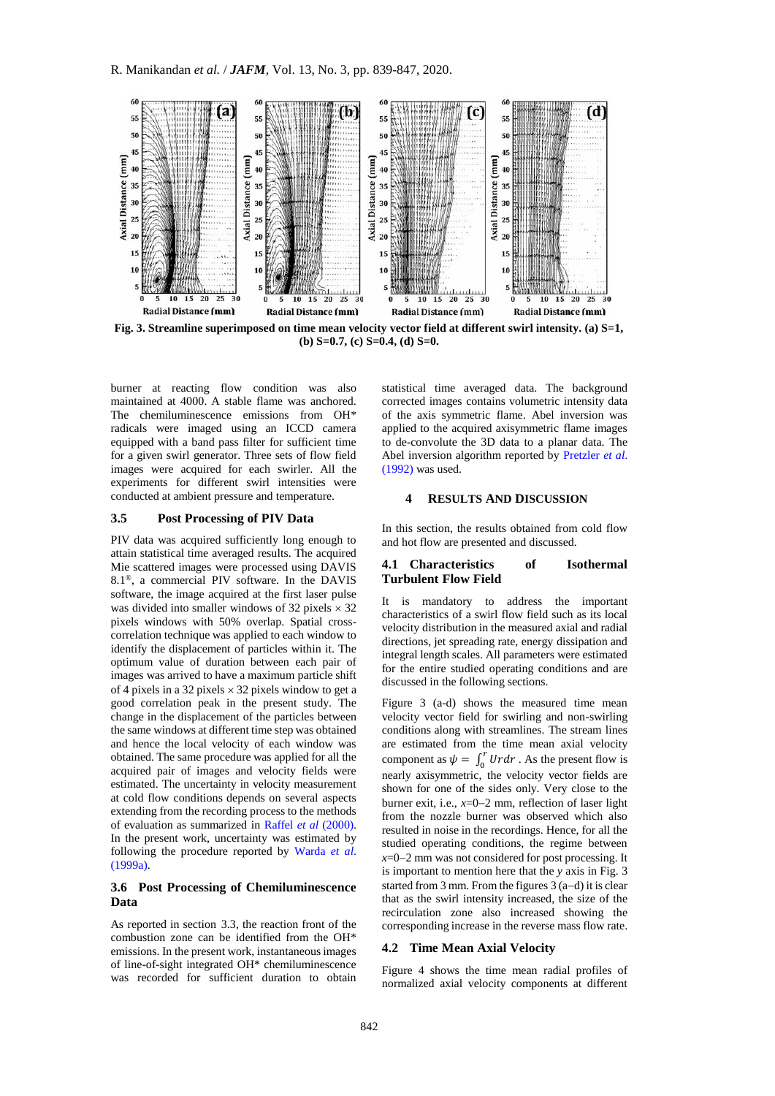

**Fig. 3. Streamline superimposed on time mean velocity vector field at different swirl intensity. (a) S=1, (b) S=0.7, (c) S=0.4, (d) S=0.**

burner at reacting flow condition was also maintained at 4000. A stable flame was anchored. The chemiluminescence emissions from OH\* radicals were imaged using an ICCD camera equipped with a band pass filter for sufficient time for a given swirl generator. Three sets of flow field images were acquired for each swirler. All the experiments for different swirl intensities were conducted at ambient pressure and temperature.

#### **3.5 Post Processing of PIV Data**

PIV data was acquired sufficiently long enough to attain statistical time averaged results. The acquired Mie scattered images were processed using DAVIS 8.1®, a commercial PIV software. In the DAVIS software, the image acquired at the first laser pulse was divided into smaller windows of 32 pixels  $\times$  32 pixels windows with 50% overlap. Spatial crosscorrelation technique was applied to each window to identify the displacement of particles within it. The optimum value of duration between each pair of images was arrived to have a maximum particle shift of 4 pixels in a 32 pixels  $\times$  32 pixels window to get a good correlation peak in the present study. The change in the displacement of the particles between the same windows at different time step was obtained and hence the local velocity of each window was obtained. The same procedure was applied for all the acquired pair of images and velocity fields were estimated. The uncertainty in velocity measurement at cold flow conditions depends on several aspects extending from the recording process to the methods of evaluation as summarized in [Raffel](#page-7-14) *et al* (2000). In the present work, uncertainty was estimated by following the procedure reported by [Warda](#page-8-0) *et al*. [\(1999a\).](#page-8-0)

# **3.6 Post Processing of Chemiluminescence Data**

As reported in section [3.3,](#page-2-1) the reaction front of the combustion zone can be identified from the OH\* emissions. In the present work, instantaneous images of line-of-sight integrated OH\* chemiluminescence was recorded for sufficient duration to obtain

statistical time averaged data. The background corrected images contains volumetric intensity data of the axis symmetric flame. Abel inversion was applied to the acquired axisymmetric flame images to de-convolute the 3D data to a planar data. The Abel inversion algorithm reported by [Pretzler](#page-7-15) *et al*. [\(1992\)](#page-7-15) was used.

## **4 RESULTS AND DISCUSSION**

In this section, the results obtained from cold flow and hot flow are presented and discussed.

## **4.1 Characteristics of Isothermal Turbulent Flow Field**

It is mandatory to address the important characteristics of a swirl flow field such as its local velocity distribution in the measured axial and radial directions, jet spreading rate, energy dissipation and integral length scales. All parameters were estimated for the entire studied operating conditions and are discussed in the following sections.

Figure 3 (a-d) shows the measured time mean velocity vector field for swirling and non-swirling conditions along with streamlines. The stream lines are estimated from the time mean axial velocity component as  $\psi = \int_0^r U r dr$ . As the present flow is nearly axisymmetric, the velocity vector fields are shown for one of the sides only. Very close to the burner exit, i.e.,  $x=0-2$  mm, reflection of laser light from the nozzle burner was observed which also resulted in noise in the recordings. Hence, for all the studied operating conditions, the regime between  $x=0-2$  mm was not considered for post processing. It is important to mention here that the *y* axis in Fig. 3 started from 3 mm. From the figures  $3(a-d)$  it is clear that as the swirl intensity increased, the size of the recirculation zone also increased showing the corresponding increase in the reverse mass flow rate.

#### **4.2 Time Mean Axial Velocity**

Figure 4 shows the time mean radial profiles of normalized axial velocity components at different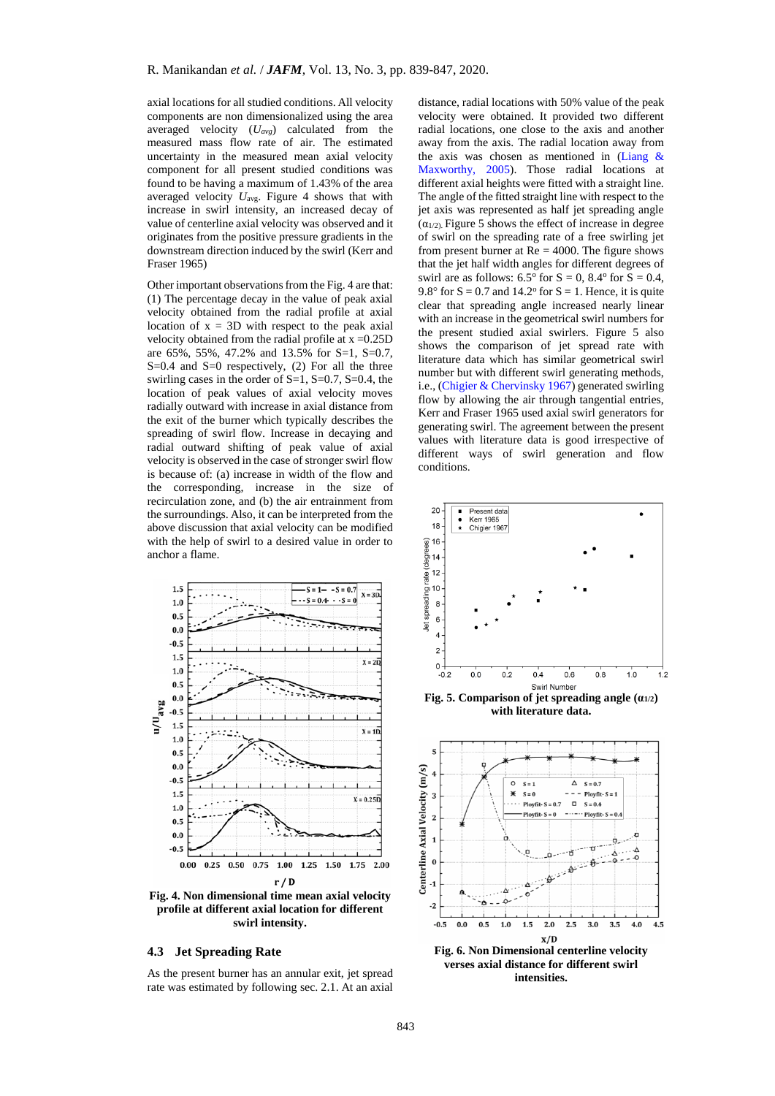axial locations for all studied conditions. All velocity components are non dimensionalized using the area averaged velocity (*Uavg*) calculated from the measured mass flow rate of air. The estimated uncertainty in the measured mean axial velocity component for all present studied conditions was found to be having a maximum of 1.43% of the area averaged velocity *U*avg. Figure 4 shows that with increase in swirl intensity, an increased decay of value of centerline axial velocity was observed and it originates from the positive pressure gradients in the downstream direction induced by the swirl (Kerr and Fraser 1965)

Other important observations from the Fig. 4 are that: (1) The percentage decay in the value of peak axial velocity obtained from the radial profile at axial location of  $x = 3D$  with respect to the peak axial velocity obtained from the radial profile at  $x = 0.25D$ are 65%, 55%, 47.2% and 13.5% for S=1, S=0.7,  $S=0.4$  and  $S=0$  respectively, (2) For all the three swirling cases in the order of  $S=1$ ,  $S=0.7$ ,  $S=0.4$ , the location of peak values of axial velocity moves radially outward with increase in axial distance from the exit of the burner which typically describes the spreading of swirl flow. Increase in decaying and radial outward shifting of peak value of axial velocity is observed in the case of stronger swirl flow is because of: (a) increase in width of the flow and the corresponding, increase in the size of recirculation zone, and (b) the air entrainment from the surroundings. Also, it can be interpreted from the above discussion that axial velocity can be modified with the help of swirl to a desired value in order to anchor a flame.



**Fig. 4. Non dimensional time mean axial velocity profile at different axial location for different swirl intensity.**

## **4.3 Jet Spreading Rate**

As the present burner has an annular exit, jet spread rate was estimated by following sec[. 2.1.](#page-1-2) At an axial

distance, radial locations with 50% value of the peak velocity were obtained. It provided two different radial locations, one close to the axis and another away from the axis. The radial location away from the axis was chosen as mentioned in (Liang  $\&$ [Maxworthy,](#page-7-9) 2005). Those radial locations at different axial heights were fitted with a straight line. The angle of the fitted straight line with respect to the jet axis was represented as half jet spreading angle  $(\alpha_{1/2})$ . Figure 5 shows the effect of increase in degree of swirl on the spreading rate of a free swirling jet from present burner at  $Re = 4000$ . The figure shows that the jet half width angles for different degrees of swirl are as follows:  $6.5^{\circ}$  for  $S = 0$ ,  $8.4^{\circ}$  for  $S = 0.4$ , 9.8° for  $S = 0.7$  and 14.2° for  $S = 1$ . Hence, it is quite clear that spreading angle increased nearly linear with an increase in the geometrical swirl numbers for the present studied axial swirlers. Figure 5 also shows the comparison of jet spread rate with literature data which has similar geometrical swirl number but with different swirl generating methods, i.e., (Chigier & [Chervinsky 1967\)](#page-7-2) generated swirling flow by allowing the air through tangential entries, Kerr and Fraser 1965 used axial swirl generators for generating swirl. The agreement between the present values with literature data is good irrespective of different ways of swirl generation and flow conditions.



Fig. 5. Comparison of jet spreading angle  $(a_{1/2})$ **with literature data.**



**verses axial distance for different swirl intensities.**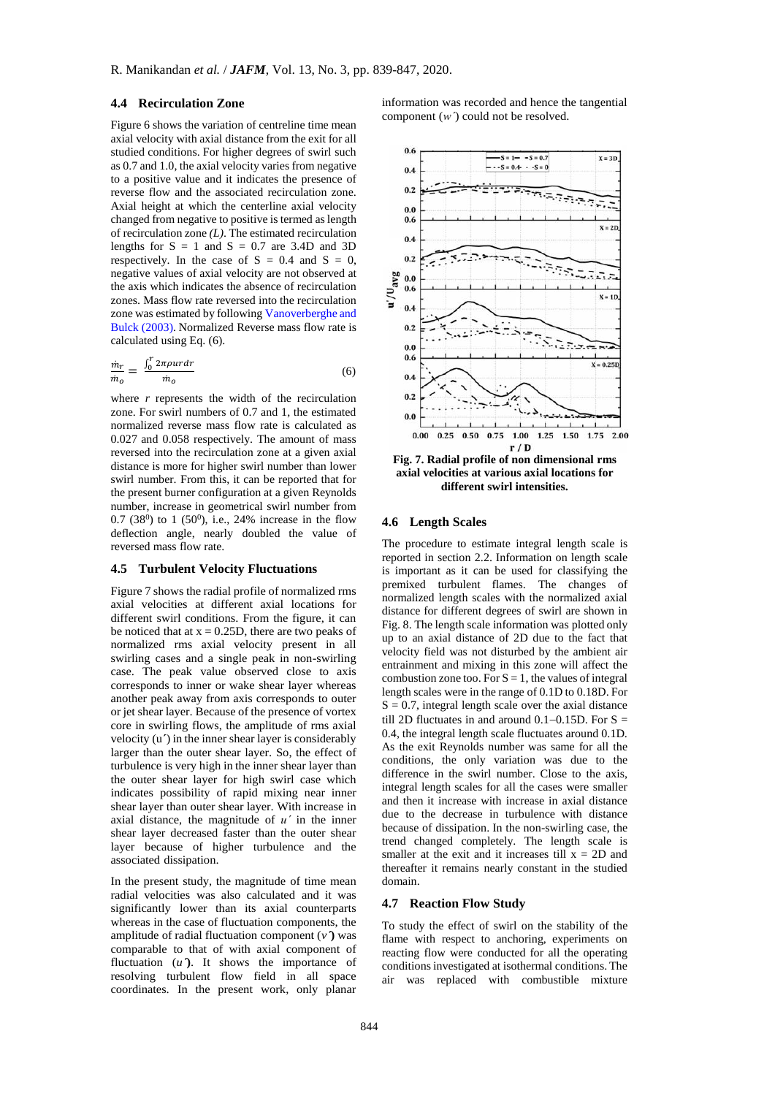## **4.4 Recirculation Zone**

Figure 6 shows the variation of centreline time mean axial velocity with axial distance from the exit for all studied conditions. For higher degrees of swirl such as 0.7 and 1.0, the axial velocity varies from negative to a positive value and it indicates the presence of reverse flow and the associated recirculation zone. Axial height at which the centerline axial velocity changed from negative to positive is termed as length of recirculation zone *(L)*. The estimated recirculation lengths for  $S = 1$  and  $S = 0.7$  are 3.4D and 3D respectively. In the case of  $S = 0.4$  and  $S = 0$ , negative values of axial velocity are not observed at the axis which indicates the absence of recirculation zones. Mass flow rate reversed into the recirculation zone was estimated by followin[g Vanoverberghe and](#page-8-1)  Bulck [\(2003\)](#page-8-1). Normalized Reverse mass flow rate is calculated using Eq. (6).

$$
\frac{m_r}{m_o} = \frac{\int_0^r 2\pi \rho u r dr}{m_o} \tag{6}
$$

where  $r$  represents the width of the recirculation zone. For swirl numbers of 0.7 and 1, the estimated normalized reverse mass flow rate is calculated as 0.027 and 0.058 respectively. The amount of mass reversed into the recirculation zone at a given axial distance is more for higher swirl number than lower swirl number. From this, it can be reported that for the present burner configuration at a given Reynolds number, increase in geometrical swirl number from  $0.7$  (38<sup>0</sup>) to 1 (50<sup>0</sup>), i.e., 24% increase in the flow deflection angle, nearly doubled the value of reversed mass flow rate.

#### **4.5 Turbulent Velocity Fluctuations**

Figure 7 shows the radial profile of normalized rms axial velocities at different axial locations for different swirl conditions. From the figure, it can be noticed that at  $x = 0.25D$ , there are two peaks of normalized rms axial velocity present in all swirling cases and a single peak in non-swirling case. The peak value observed close to axis corresponds to inner or wake shear layer whereas another peak away from axis corresponds to outer or jet shear layer. Because of the presence of vortex core in swirling flows, the amplitude of rms axial velocity (u**ˊ**) in the inner shear layer is considerably larger than the outer shear layer. So, the effect of turbulence is very high in the inner shear layer than the outer shear layer for high swirl case which indicates possibility of rapid mixing near inner shear layer than outer shear layer. With increase in axial distance, the magnitude of *uˊ* in the inner shear layer decreased faster than the outer shear layer because of higher turbulence and the associated dissipation.

In the present study, the magnitude of time mean radial velocities was also calculated and it was significantly lower than its axial counterparts whereas in the case of fluctuation components, the amplitude of radial fluctuation component (*vˊ***)** was comparable to that of with axial component of fluctuation  $(u')$ . It shows the importance of resolving turbulent flow field in all space coordinates. In the present work, only planar

information was recorded and hence the tangential component (*wˊ*) could not be resolved.



**axial velocities at various axial locations for different swirl intensities.**

## **4.6 Length Scales**

The procedure to estimate integral length scale is reported in section 2.2. Information on length scale is important as it can be used for classifying the premixed turbulent flames. The changes of normalized length scales with the normalized axial distance for different degrees of swirl are shown in Fig. 8. The length scale information was plotted only up to an axial distance of 2D due to the fact that velocity field was not disturbed by the ambient air entrainment and mixing in this zone will affect the combustion zone too. For  $S = 1$ , the values of integral length scales were in the range of 0.1D to 0.18D. For  $S = 0.7$ , integral length scale over the axial distance till 2D fluctuates in and around  $0.1-0.15D$ . For S = 0.4, the integral length scale fluctuates around 0.1D. As the exit Reynolds number was same for all the conditions, the only variation was due to the difference in the swirl number. Close to the axis, integral length scales for all the cases were smaller and then it increase with increase in axial distance due to the decrease in turbulence with distance because of dissipation. In the non-swirling case, the trend changed completely. The length scale is smaller at the exit and it increases till  $x = 2D$  and thereafter it remains nearly constant in the studied domain.

#### **4.7 Reaction Flow Study**

To study the effect of swirl on the stability of the flame with respect to anchoring, experiments on reacting flow were conducted for all the operating conditions investigated at isothermal conditions. The air was replaced with combustible mixture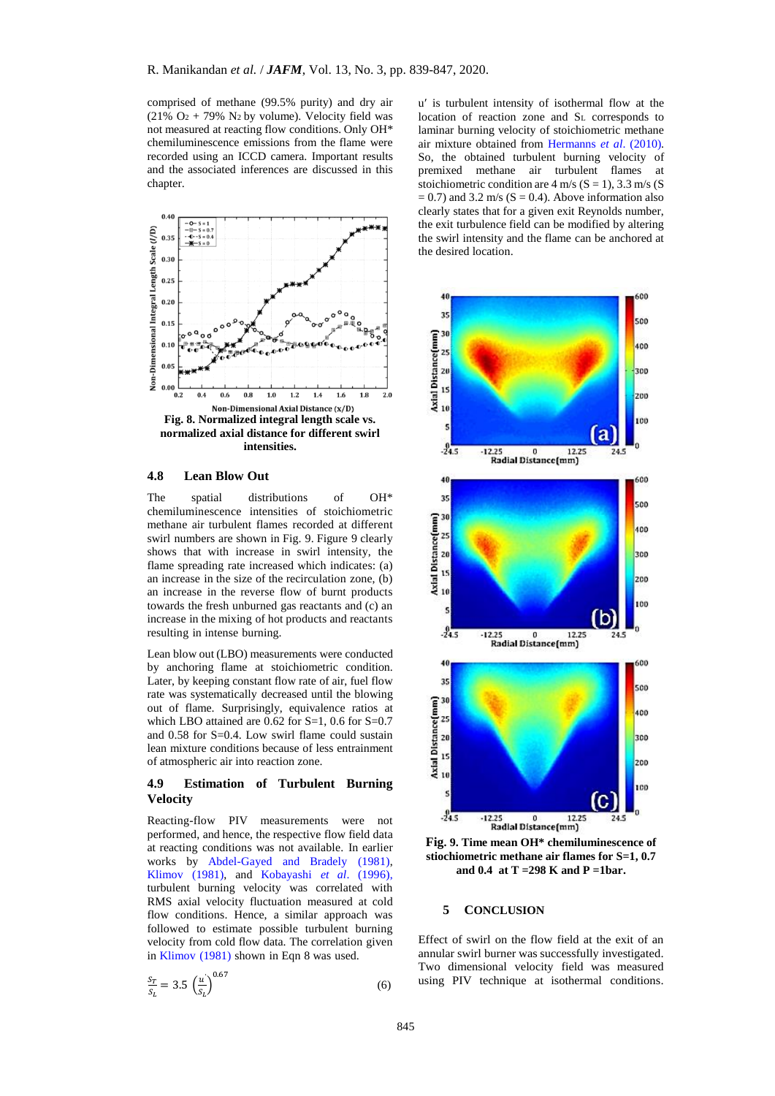comprised of methane (99.5% purity) and dry air (21%  $O_2$  + 79% N<sub>2</sub> by volume). Velocity field was not measured at reacting flow conditions. Only OH\* chemiluminescence emissions from the flame were recorded using an ICCD camera. Important results and the associated inferences are discussed in this chapter.



# **4.8 Lean Blow Out**

The spatial distributions of OH\* chemiluminescence intensities of stoichiometric methane air turbulent flames recorded at different swirl numbers are shown in Fig. 9. Figure 9 clearly shows that with increase in swirl intensity, the flame spreading rate increased which indicates: (a) an increase in the size of the recirculation zone, (b) an increase in the reverse flow of burnt products towards the fresh unburned gas reactants and (c) an increase in the mixing of hot products and reactants resulting in intense burning.

Lean blow out (LBO) measurements were conducted by anchoring flame at stoichiometric condition. Later, by keeping constant flow rate of air, fuel flow rate was systematically decreased until the blowing out of flame. Surprisingly, equivalence ratios at which LBO attained are  $0.62$  for S=1, 0.6 for S=0.7 and 0.58 for S=0.4. Low swirl flame could sustain lean mixture conditions because of less entrainment of atmospheric air into reaction zone.

# **4.9 Estimation of Turbulent Burning Velocity**

Reacting-flow PIV measurements were not performed, and hence, the respective flow field data at reacting conditions was not available. In earlier works by [Abdel-Gayed and Bradely](#page-7-16) (1981), [Klimov \(1981\)](#page-7-17), and [Kobayashi](#page-7-18) *et al*. (1996), turbulent burning velocity was correlated with RMS axial velocity fluctuation measured at cold flow conditions. Hence, a similar approach was followed to estimate possible turbulent burning velocity from cold flow data. The correlation given i[n Klimov](#page-7-17) (1981) shown in Eqn 8 was used.

$$
\frac{S_T}{S_L} = 3.5 \left(\frac{u'}{S_L}\right)^{0.67} \tag{6}
$$

u' is turbulent intensity of isothermal flow at the location of reaction zone and S<sup>L</sup> corresponds to laminar burning velocity of stoichiometric methane air mixture obtained from [Hermanns](#page-7-19) *et al*. (2010). So, the obtained turbulent burning velocity of premixed methane air turbulent flames at stoichiometric condition are  $4 \text{ m/s}$  (S = 1), 3.3 m/s (S  $= 0.7$ ) and 3.2 m/s (S  $= 0.4$ ). Above information also clearly states that for a given exit Reynolds number, the exit turbulence field can be modified by altering the swirl intensity and the flame can be anchored at the desired location.



**Fig. 9. Time mean OH\* chemiluminescence of stiochiometric methane air flames for S=1, 0.7 and 0.4 at T =298 K and P =1bar.**

#### **5 CONCLUSION**

Effect of swirl on the flow field at the exit of an annular swirl burner was successfully investigated. Two dimensional velocity field was measured using PIV technique at isothermal conditions.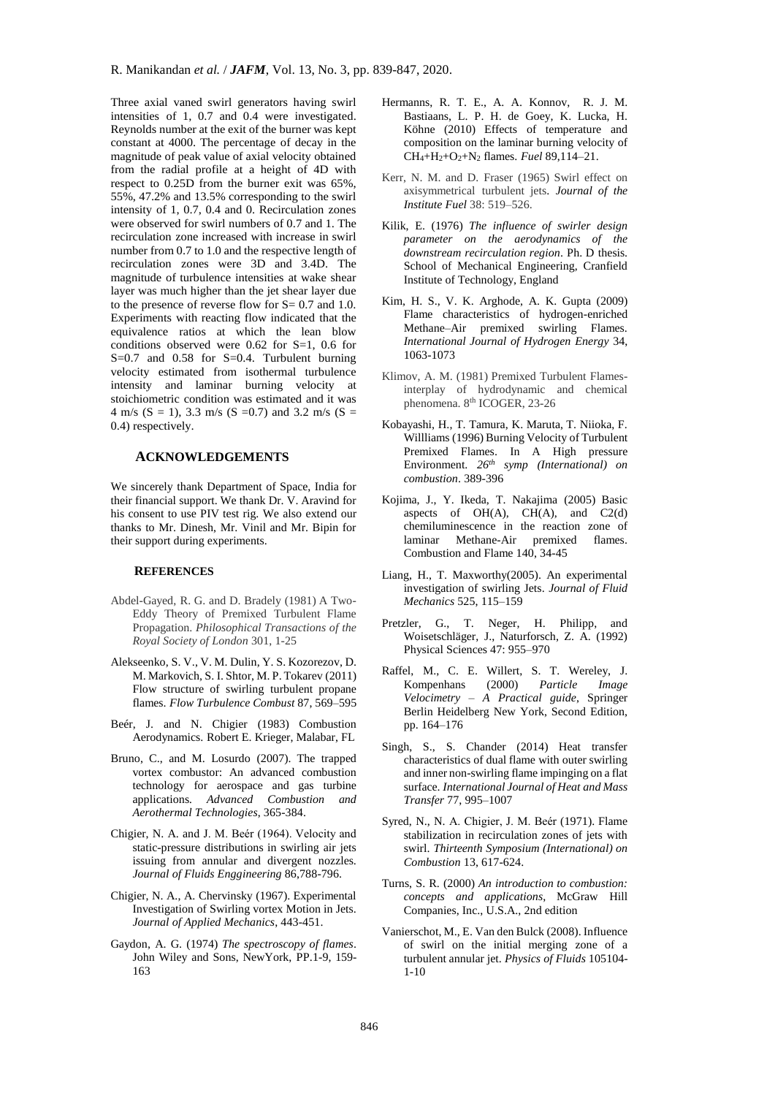Three axial vaned swirl generators having swirl intensities of 1, 0.7 and 0.4 were investigated. Reynolds number at the exit of the burner was kept constant at 4000. The percentage of decay in the magnitude of peak value of axial velocity obtained from the radial profile at a height of 4D with respect to 0.25D from the burner exit was 65%, 55%, 47.2% and 13.5% corresponding to the swirl intensity of 1, 0.7, 0.4 and 0. Recirculation zones were observed for swirl numbers of 0.7 and 1. The recirculation zone increased with increase in swirl number from 0.7 to 1.0 and the respective length of recirculation zones were 3D and 3.4D. The magnitude of turbulence intensities at wake shear layer was much higher than the jet shear layer due to the presence of reverse flow for  $S = 0.7$  and 1.0. Experiments with reacting flow indicated that the equivalence ratios at which the lean blow conditions observed were 0.62 for S=1, 0.6 for  $S=0.7$  and 0.58 for  $S=0.4$ . Turbulent burning velocity estimated from isothermal turbulence intensity and laminar burning velocity at stoichiometric condition was estimated and it was 4 m/s (S = 1), 3.3 m/s (S = 0.7) and 3.2 m/s (S = 0.4) respectively.

# **ACKNOWLEDGEMENTS**

We sincerely thank Department of Space, India for their financial support. We thank Dr. V. Aravind for his consent to use PIV test rig. We also extend our thanks to Mr. Dinesh, Mr. Vinil and Mr. Bipin for their support during experiments.

#### **REFERENCES**

- <span id="page-7-16"></span>Abdel-Gayed, R. G. and D. Bradely (1981) A Two-Eddy Theory of Premixed Turbulent Flame Propagation. *Philosophical Transactions of the Royal Society of London* 301, 1-25
- <span id="page-7-5"></span>Alekseenko, S. V., V. M. Dulin, Y. S. Kozorezov, D. M. Markovich, S. I. Shtor, M. P. Tokarev (2011) Flow structure of swirling turbulent propane flames. *Flow Turbulence Combust* 87, 569–595
- <span id="page-7-11"></span>Beér, J. and N. Chigier (1983) Combustion Aerodynamics. Robert E. Krieger, Malabar, FL
- <span id="page-7-0"></span>Bruno, C., and M. Losurdo (2007). The trapped vortex combustor: An advanced combustion technology for aerospace and gas turbine applications*. Advanced Combustion and Aerothermal Technologies*, 365-384.
- <span id="page-7-1"></span>Chigier, N. A. and J. M. Beér (1964). Velocity and static-pressure distributions in swirling air jets issuing from annular and divergent nozzles. *Journal of Fluids Enggineering* 86,788-796.
- <span id="page-7-2"></span>Chigier, N. A., A. Chervinsky (1967). Experimental Investigation of Swirling vortex Motion in Jets. *Journal of Applied Mechanics*, 443-451.
- <span id="page-7-13"></span>Gaydon, A. G. (1974) *The spectroscopy of flames*. John Wiley and Sons, NewYork, PP.1-9, 159- 163
- <span id="page-7-19"></span>Hermanns, R. T. E., A. A. Konnov, R. J. M. Bastiaans, L. P. H. de Goey, K. Lucka, H. Köhne (2010) Effects of temperature and composition on the laminar burning velocity of CH4+H2+O2+N<sup>2</sup> flames. *Fuel* 89,114–21.
- Kerr, N. M. and D. Fraser (1965) Swirl effect on axisymmetrical turbulent jets. *Journal of the Institute Fuel* 38: 519–526.
- <span id="page-7-12"></span>Kilik, E. (1976) *The influence of swirler design parameter on the aerodynamics of the downstream recirculation region*. Ph. D thesis. School of Mechanical Engineering, Cranfield Institute of Technology, England
- <span id="page-7-6"></span>Kim, H. S., V. K. Arghode, A. K. Gupta (2009) Flame characteristics of hydrogen-enriched Methane–Air premixed swirling Flames. *International Journal of Hydrogen Energy* 34, 1063-1073
- <span id="page-7-17"></span>Klimov, A. M. (1981) Premixed Turbulent Flamesinterplay of hydrodynamic and chemical phenomena. 8<sup>th</sup> ICOGER, 23-26
- <span id="page-7-18"></span>Kobayashi, H., T. Tamura, K. Maruta, T. Niioka, F. Willliams (1996) Burning Velocity of Turbulent Premixed Flames. In A High pressure Environment. *26th symp (International) on combustion*. 389-396
- <span id="page-7-7"></span>Kojima, J., Y. Ikeda, T. Nakajima (2005) Basic aspects of OH(A), CH(A), and C2(d) chemiluminescence in the reaction zone of laminar Methane-Air premixed flames. Combustion and Flame 140, 34-45
- <span id="page-7-9"></span>Liang, H., T. Maxworthy(2005). An experimental investigation of swirling Jets. *Journal of Fluid Mechanics* 525, 115–159
- <span id="page-7-15"></span>Pretzler, G., T. Neger, H. Philipp, and Woisetschläger, J., Naturforsch, Z. A. (1992) Physical Sciences 47: 955–970
- <span id="page-7-14"></span>Raffel, M., C. E. Willert, S. T. Wereley, J. Kompenhans (2000) *Particle Image Velocimetry – A Practical guide*, Springer Berlin Heidelberg New York, Second Edition, pp. 164–176
- <span id="page-7-10"></span>Singh, S., S. Chander (2014) Heat transfer characteristics of dual flame with outer swirling and inner non-swirling flame impinging on a flat surface. *International Journal of Heat and Mass Transfer* 77, 995–1007
- <span id="page-7-3"></span>Syred, N., N. A. Chigier, J. M. Beér (1971). Flame stabilization in recirculation zones of jets with swirl. *Thirteenth Symposium (International) on Combustion* 13, 617-624.
- <span id="page-7-8"></span>Turns, S. R. (2000) *An introduction to combustion: concepts and applications*, McGraw Hill Companies, Inc., U.S.A., 2nd edition
- <span id="page-7-4"></span>Vanierschot, M., E. Van den Bulck (2008). Influence of swirl on the initial merging zone of a turbulent annular jet. *Physics of Fluids* 105104- 1-10